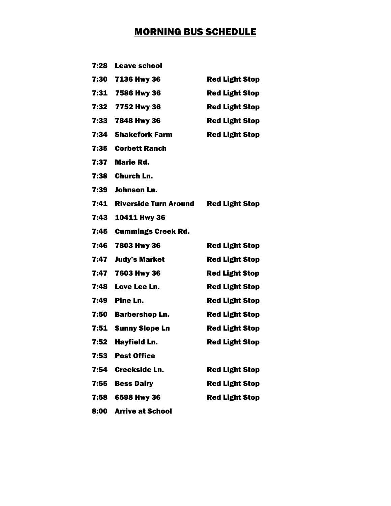## MORNING BUS SCHEDULE

| 7:28 | <b>Leave school</b>          |                       |
|------|------------------------------|-----------------------|
| 7:30 | 7136 Hwy 36                  | <b>Red Light Stop</b> |
| 7:31 | 7586 Hwy 36                  | <b>Red Light Stop</b> |
| 7:32 | 7752 Hwy 36                  | <b>Red Light Stop</b> |
| 7:33 | 7848 Hwy 36                  | <b>Red Light Stop</b> |
| 7:34 | <b>Shakefork Farm</b>        | <b>Red Light Stop</b> |
| 7:35 | <b>Corbett Ranch</b>         |                       |
| 7:37 | <b>Marie Rd.</b>             |                       |
| 7:38 | <b>Church Ln.</b>            |                       |
| 7:39 | Johnson Ln.                  |                       |
| 7:41 | <b>Riverside Turn Around</b> | <b>Red Light Stop</b> |
| 7:43 | 10411 Hwy 36                 |                       |
| 7:45 | <b>Cummings Creek Rd.</b>    |                       |
| 7:46 | 7803 Hwy 36                  | <b>Red Light Stop</b> |
| 7:47 | <b>Judy's Market</b>         | <b>Red Light Stop</b> |
| 7:47 | 7603 Hwy 36                  | <b>Red Light Stop</b> |
| 7:48 | Love Lee Ln.                 | <b>Red Light Stop</b> |
| 7:49 | Pine Ln.                     | <b>Red Light Stop</b> |
| 7:50 | <b>Barbershop Ln.</b>        | <b>Red Light Stop</b> |
| 7:51 | <b>Sunny Slope Ln</b>        | <b>Red Light Stop</b> |
| 7:52 | <b>Hayfield Ln.</b>          | <b>Red Light Stop</b> |
| 7:53 | <b>Post Office</b>           |                       |
| 7:54 | <b>Creekside Ln.</b>         | <b>Red Light Stop</b> |
| 7:55 | <b>Bess Dairy</b>            | <b>Red Light Stop</b> |
| 7:58 | 6598 Hwy 36                  | <b>Red Light Stop</b> |
| 8:00 | <b>Arrive at School</b>      |                       |